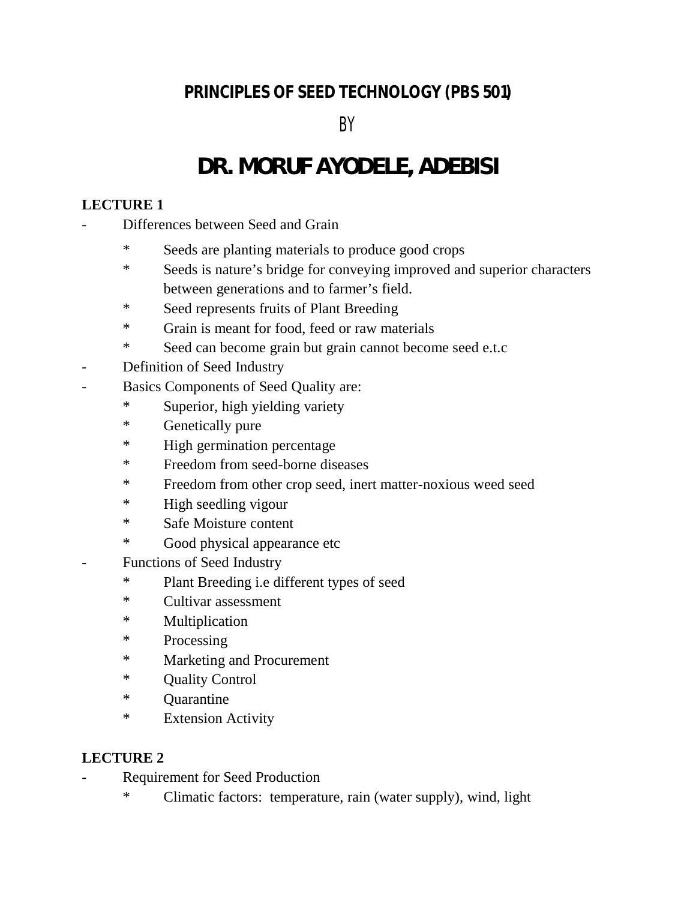## **PRINCIPLES OF SEED TECHNOLOGY (PBS 501)**

BY

# **DR. MORUF AYODELE, ADEBISI**

## **LECTURE 1**

- Differences between Seed and Grain
	- \* Seeds are planting materials to produce good crops
	- \* Seeds is nature's bridge for conveying improved and superior characters between generations and to farmer's field.
	- \* Seed represents fruits of Plant Breeding
	- \* Grain is meant for food, feed or raw materials
	- \* Seed can become grain but grain cannot become seed e.t.c
- Definition of Seed Industry
- Basics Components of Seed Quality are:
	- \* Superior, high yielding variety
	- \* Genetically pure
	- \* High germination percentage
	- \* Freedom from seed-borne diseases
	- \* Freedom from other crop seed, inert matter-noxious weed seed
	- \* High seedling vigour
	- \* Safe Moisture content
	- \* Good physical appearance etc
- Functions of Seed Industry
	- \* Plant Breeding i.e different types of seed
	- \* Cultivar assessment
	- \* Multiplication
	- \* Processing
	- \* Marketing and Procurement
	- \* Quality Control
	- \* Quarantine
	- \* Extension Activity

- Requirement for Seed Production
	- \* Climatic factors: temperature, rain (water supply), wind, light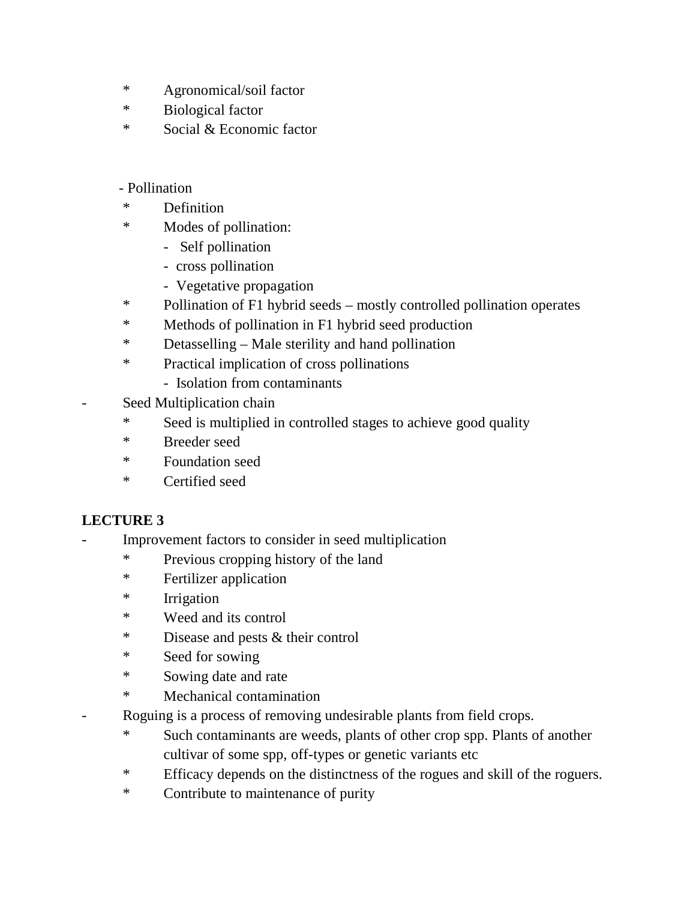- \* Agronomical/soil factor
- \* Biological factor
- \* Social & Economic factor

## - Pollination

- \* Definition
- \* Modes of pollination:
	- Self pollination
	- cross pollination
	- Vegetative propagation
- \* Pollination of F1 hybrid seeds mostly controlled pollination operates
- \* Methods of pollination in F1 hybrid seed production
- \* Detasselling Male sterility and hand pollination
- \* Practical implication of cross pollinations
	- Isolation from contaminants
- Seed Multiplication chain
	- \* Seed is multiplied in controlled stages to achieve good quality
	- \* Breeder seed
	- \* Foundation seed
	- \* Certified seed

- Improvement factors to consider in seed multiplication
	- \* Previous cropping history of the land
	- \* Fertilizer application
	- \* Irrigation
	- \* Weed and its control
	- \* Disease and pests & their control
	- \* Seed for sowing
	- \* Sowing date and rate
	- \* Mechanical contamination
- Roguing is a process of removing undesirable plants from field crops.
	- \* Such contaminants are weeds, plants of other crop spp. Plants of another cultivar of some spp, off-types or genetic variants etc
	- \* Efficacy depends on the distinctness of the rogues and skill of the roguers.
	- \* Contribute to maintenance of purity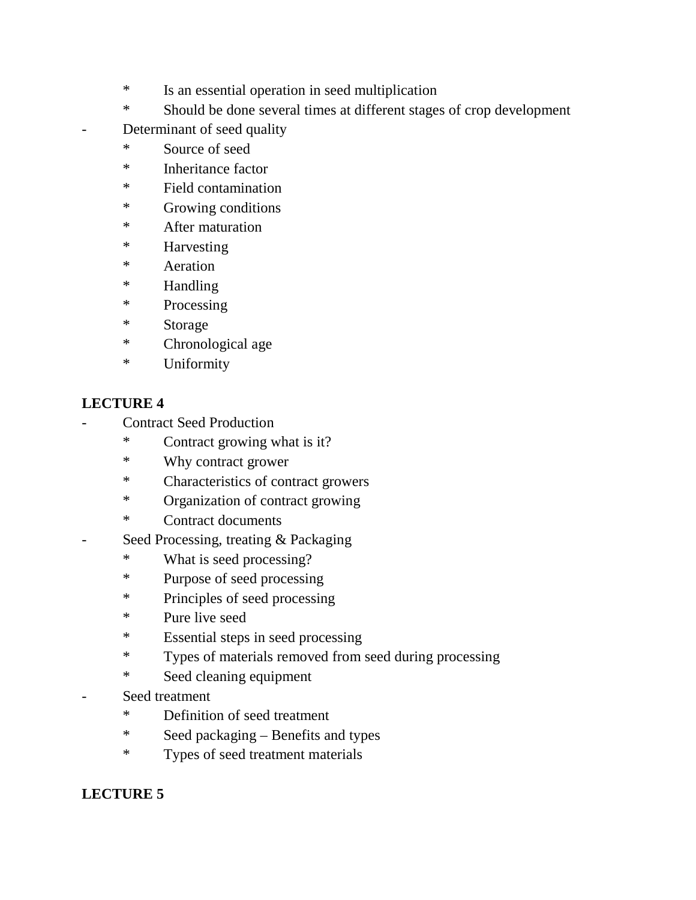- \* Is an essential operation in seed multiplication
- \* Should be done several times at different stages of crop development
- Determinant of seed quality
- \* Source of seed
- \* Inheritance factor
- \* Field contamination
- \* Growing conditions
- \* After maturation
- \* Harvesting
- \* Aeration
- \* Handling
- \* Processing
- \* Storage
- \* Chronological age
- \* Uniformity

## **LECTURE 4**

- Contract Seed Production
	- \* Contract growing what is it?
	- \* Why contract grower
	- \* Characteristics of contract growers
	- \* Organization of contract growing
	- \* Contract documents
- Seed Processing, treating & Packaging
	- \* What is seed processing?
	- \* Purpose of seed processing
	- \* Principles of seed processing
	- \* Pure live seed
	- \* Essential steps in seed processing
	- \* Types of materials removed from seed during processing
	- \* Seed cleaning equipment
- Seed treatment
	- \* Definition of seed treatment
	- \* Seed packaging Benefits and types
	- \* Types of seed treatment materials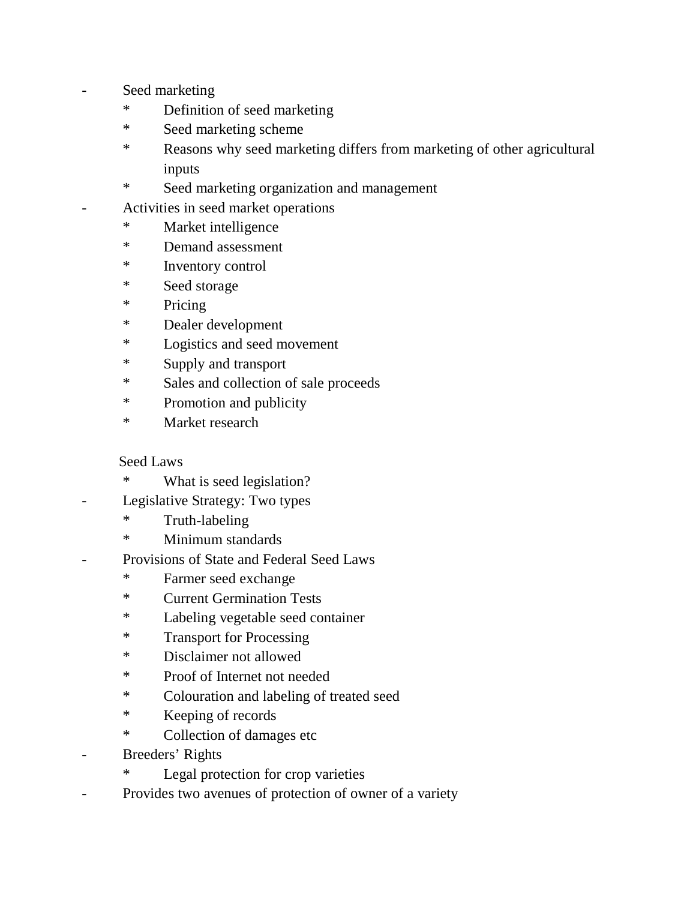- Seed marketing
	- \* Definition of seed marketing
	- \* Seed marketing scheme
	- \* Reasons why seed marketing differs from marketing of other agricultural inputs
	- \* Seed marketing organization and management
	- Activities in seed market operations
		- \* Market intelligence
		- \* Demand assessment
		- \* Inventory control
		- \* Seed storage
		- \* Pricing
		- \* Dealer development
		- \* Logistics and seed movement
		- \* Supply and transport
		- \* Sales and collection of sale proceeds
		- \* Promotion and publicity
		- \* Market research

## Seed Laws

- \* What is seed legislation?
- Legislative Strategy: Two types
	- \* Truth-labeling
	- \* Minimum standards
- Provisions of State and Federal Seed Laws
	- \* Farmer seed exchange
	- \* Current Germination Tests
	- \* Labeling vegetable seed container
	- \* Transport for Processing
	- \* Disclaimer not allowed
	- \* Proof of Internet not needed
	- \* Colouration and labeling of treated seed
	- \* Keeping of records
	- \* Collection of damages etc
- Breeders' Rights
	- \* Legal protection for crop varieties
- Provides two avenues of protection of owner of a variety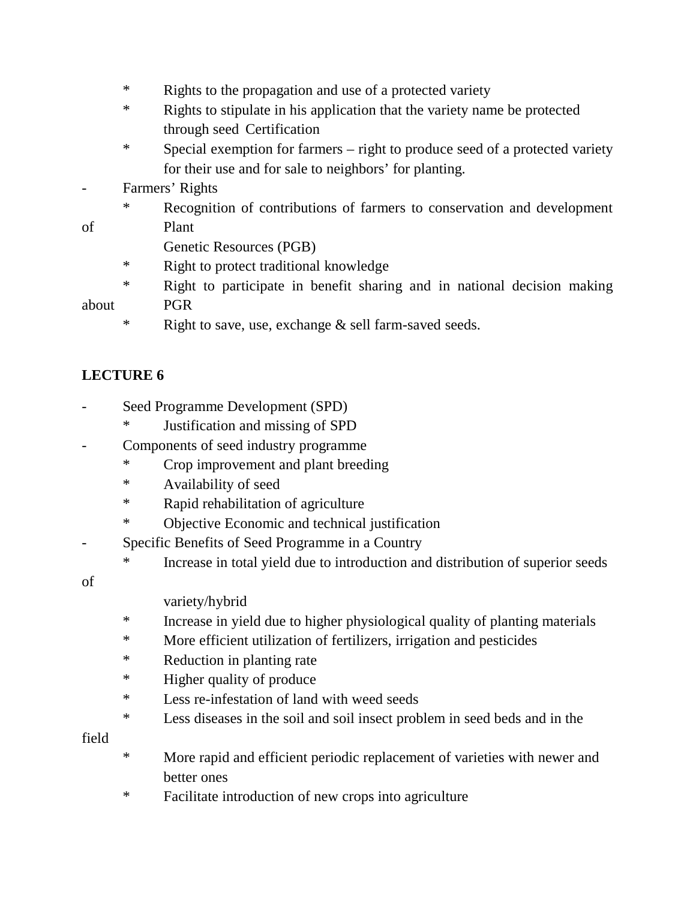- \* Rights to the propagation and use of a protected variety
- \* Rights to stipulate in his application that the variety name be protected through seed Certification
- \* Special exemption for farmers right to produce seed of a protected variety for their use and for sale to neighbors' for planting.
- Farmers' Rights
- \* Recognition of contributions of farmers to conservation and development of Plant
	- Genetic Resources (PGB)
	- \* Right to protect traditional knowledge
- \* Right to participate in benefit sharing and in national decision making about PGR
	- \* Right to save, use, exchange & sell farm-saved seeds.

## **LECTURE 6**

- Seed Programme Development (SPD)
	- \* Justification and missing of SPD
	- Components of seed industry programme
		- \* Crop improvement and plant breeding
		- \* Availability of seed
		- \* Rapid rehabilitation of agriculture
		- \* Objective Economic and technical justification
- Specific Benefits of Seed Programme in a Country
	- \* Increase in total yield due to introduction and distribution of superior seeds

of

variety/hybrid

- \* Increase in yield due to higher physiological quality of planting materials
- \* More efficient utilization of fertilizers, irrigation and pesticides
- \* Reduction in planting rate
- \* Higher quality of produce
- \* Less re-infestation of land with weed seeds
- \* Less diseases in the soil and soil insect problem in seed beds and in the

field

- \* More rapid and efficient periodic replacement of varieties with newer and better ones
- \* Facilitate introduction of new crops into agriculture